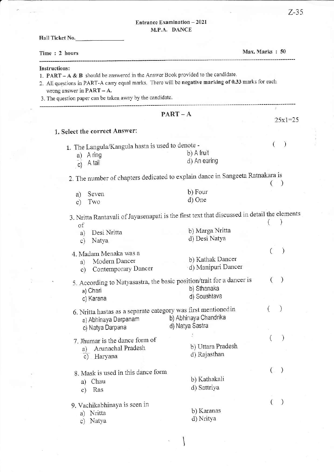## Entrance Examination - 2021 M.P.A. DANCE

| Hall Ticket No.                                                                                                                                                                                                                                                                                             |                       |                |          |                  |
|-------------------------------------------------------------------------------------------------------------------------------------------------------------------------------------------------------------------------------------------------------------------------------------------------------------|-----------------------|----------------|----------|------------------|
| Time: 2 hours                                                                                                                                                                                                                                                                                               |                       | Max. Marks: 50 |          |                  |
| <b>Instructions:</b><br>1. $PART - A & B$ should be answered in the Answer Book provided to the candidate.<br>2. All questions in PART-A carry equal marks. There will be negative marking of 0.33 marks for each<br>wrong answer in PART - A.<br>3. The question paper can be taken away by the candidate. |                       |                |          |                  |
|                                                                                                                                                                                                                                                                                                             | $PART - A$            |                |          | $25x1=25$        |
| 1. Select the correct Answer:                                                                                                                                                                                                                                                                               |                       |                |          |                  |
| 1. The Langula/Kangula hasta is used to denote -                                                                                                                                                                                                                                                            |                       |                | $\left($ | $\big)$          |
| a) A ring                                                                                                                                                                                                                                                                                                   | b) A fruit            |                |          |                  |
| c) A tail                                                                                                                                                                                                                                                                                                   | d) An earing          |                |          |                  |
| 2. The number of chapters dedicated to explain dance in Sangeeta Ratnakara is                                                                                                                                                                                                                               |                       |                |          |                  |
|                                                                                                                                                                                                                                                                                                             |                       |                |          |                  |
| Seven<br>a)                                                                                                                                                                                                                                                                                                 | b) Four               |                |          |                  |
| Two<br>$\circ$ )                                                                                                                                                                                                                                                                                            | d) One                |                |          |                  |
| 3. Nritta Rantavali of Jayasenapati is the first text that discussed in detail the elements                                                                                                                                                                                                                 |                       |                |          |                  |
| of                                                                                                                                                                                                                                                                                                          |                       |                |          |                  |
| Desi Nritta<br>a)                                                                                                                                                                                                                                                                                           | b) Marga Nritta       |                |          |                  |
| Natya<br>$\mathbf{c})$                                                                                                                                                                                                                                                                                      | d) Desi Natya         |                |          |                  |
| 4. Madam Menaka was a                                                                                                                                                                                                                                                                                       |                       |                |          | $\mathcal{E}$    |
| Modern Dancer<br>a)                                                                                                                                                                                                                                                                                         | b) Kathak Dancer      |                |          |                  |
| Contemporary Dancer<br>$\circ$ )                                                                                                                                                                                                                                                                            | ·d) Manipuri Dancer   |                |          |                  |
| 5. According to Natyasastra, the basic position/trait for a dancer is                                                                                                                                                                                                                                       |                       |                |          |                  |
| a) Chari                                                                                                                                                                                                                                                                                                    | b) Sthanaka           |                |          |                  |
| c) Karana                                                                                                                                                                                                                                                                                                   | d) Soushtava          |                |          |                  |
|                                                                                                                                                                                                                                                                                                             |                       |                |          |                  |
| 6. Nritta hastas as a separate category was first mentioned in                                                                                                                                                                                                                                              | b) Abhinaya Chandrika |                |          |                  |
| a) Abhinaya Darpanam                                                                                                                                                                                                                                                                                        | d) Natya Sastra       |                |          |                  |
| c) Natya Darpana                                                                                                                                                                                                                                                                                            |                       |                |          |                  |
| 7. Jhumar is the dance form of                                                                                                                                                                                                                                                                              |                       |                | €        |                  |
| Arunachal Pradesh<br>a)                                                                                                                                                                                                                                                                                     | b) Uttara Pradesh     |                |          |                  |
| c) Haryana                                                                                                                                                                                                                                                                                                  | d) Rajasthan          |                |          |                  |
| 8. Mask is used in this dance form                                                                                                                                                                                                                                                                          |                       |                | $\left($ | $\left( \right)$ |
| Chau<br>a)                                                                                                                                                                                                                                                                                                  | b) Kathakali          |                |          |                  |
| Ras<br>$\mathbf{c})$                                                                                                                                                                                                                                                                                        | d) Sattriya           |                |          |                  |
|                                                                                                                                                                                                                                                                                                             |                       |                |          |                  |
| 9. Vachikabhinaya is seen in                                                                                                                                                                                                                                                                                | b) Karanas            |                |          |                  |
| a) Nritta                                                                                                                                                                                                                                                                                                   | d) Nritya             |                |          |                  |
| c) Natya                                                                                                                                                                                                                                                                                                    |                       |                |          |                  |

١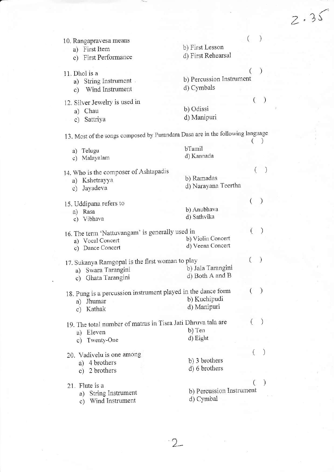$\mathcal{E}$ ( 10. Rangapravesa means b) First Lesson a) First ltem d) First Rehearsal c) First Performance  $\overline{(\ }$ J, b) Percussion Instrument a) String Instrument. d) Cynbals c) Wind Instrument  $\overline{(\ }$ 12. Silver Jewelry is used in b) Odissi d) Maniputi c) Sattriya 13. Most of the songs composed by Purandara Dasa are in the following language  $\left( \begin{array}{c} \searrow \end{array} \right)$ bTamil d) Kannada c) Malayalam ()  $\lambda$ 14. Who is the composer of Ashtapadis b) Ramadas a) Kshetrayya d) Narayana Teertha c) Jayadeva ()  $\mathcal{E}$ 15. Uddipana refers to b) Anubhava d) Sathvika c) Vibhava 16. The term 'Nattuvangam' is generally used in  $($  $\mathcal{E}$ b) Violin Concert a) Vocal Concert d) Veena Concert c) Dance Concert  $\left($  $\lambda$ 17. Sukanya Ramgopal is the first woman to PlaY b) Jala Tarangini a) Swara Tarangini d) Both A and B c) Ghata Tarangini 18. Pung is a percussion instrument played in the dance form  $( )$ b) Kuchipudi a) Jhumar d) Manipuri c) Kathak

 $2.35$ 

a) Eleven c) Twenty-One 20. Vadiveiu is one among 19. The total number of matras in Tisra Jati Dhruva tala are  $( )$ b) Ten d) Eight ()

- a) 4 brothers c) 2 brothers 21. Flute is a a) String Instrument b) 3 brothers d) 6 brothers b) Percussion Instrument
	- c) Wind Instrument

11. Dhol is a

a) Chau

a) Telugu

a) Rasa

d) Cymbal

 $\overline{(\ }$ 

 $\mathcal{E}$ 

 $\mathcal{L}$ 

 $\cdot$  2